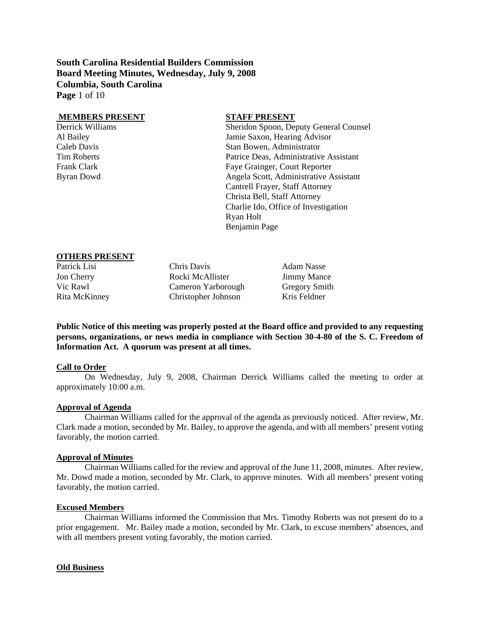**South Carolina Residential Builders Commission Board Meeting Minutes, Wednesday, July 9, 2008 Columbia, South Carolina Page** 1 of 10

#### **MEMBERS PRESENT STAFF PRESENT**

Derrick Williams Sheridon Spoon, Deputy General Counsel Al Bailey Jamie Saxon, Hearing Advisor Caleb Davis Stan Bowen, Administrator Tim Roberts Patrice Deas, Administrative Assistant Frank Clark Faye Grainger, Court Reporter Byran Dowd Angela Scott, Administrative Assistant Cantrell Frayer, Staff Attorney Christa Bell, Staff Attorney Charlie Ido, Office of Investigation Ryan Holt Benjamin Page

#### **OTHERS PRESENT**

Patrick Lisi Chris Davis Chris Davis Adam Nasse Jon Cherry Rocki McAllister Jimmy Mance Vic Rawl Cameron Yarborough Gregory Smith Rita McKinney Christopher Johnson Kris Feldner

**Public Notice of this meeting was properly posted at the Board office and provided to any requesting persons, organizations, or news media in compliance with Section 30-4-80 of the S. C. Freedom of Information Act. A quorum was present at all times.** 

#### **Call to Order**

On Wednesday, July 9, 2008, Chairman Derrick Williams called the meeting to order at approximately 10:00 a.m.

#### **Approval of Agenda**

Chairman Williams called for the approval of the agenda as previously noticed. After review, Mr. Clark made a motion, seconded by Mr. Bailey, to approve the agenda, and with all members' present voting favorably, the motion carried.

## **Approval of Minutes**

Chairman Williams called for the review and approval of the June 11, 2008, minutes. After review, Mr. Dowd made a motion, seconded by Mr. Clark, to approve minutes. With all members' present voting favorably, the motion carried.

#### **Excused Members**

Chairman Williams informed the Commission that Mrs. Timothy Roberts was not present do to a prior engagement. Mr. Bailey made a motion, seconded by Mr. Clark, to excuse members' absences, and with all members present voting favorably, the motion carried.

#### **Old Business**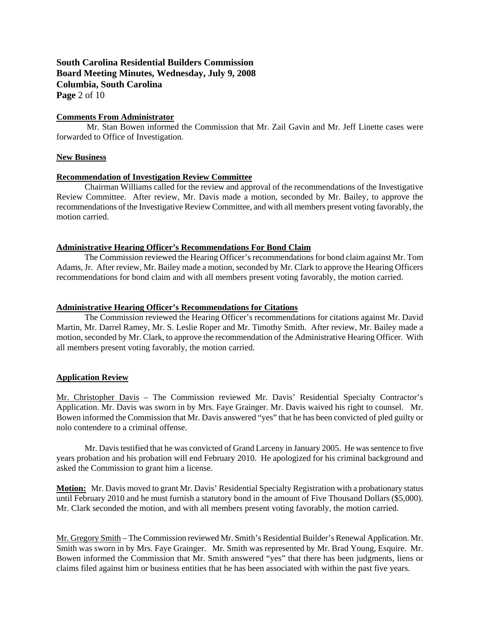## **South Carolina Residential Builders Commission Board Meeting Minutes, Wednesday, July 9, 2008 Columbia, South Carolina Page** 2 of 10

#### **Comments From Administrator**

 Mr. Stan Bowen informed the Commission that Mr. Zail Gavin and Mr. Jeff Linette cases were forwarded to Office of Investigation.

#### **New Business**

### **Recommendation of Investigation Review Committee**

Chairman Williams called for the review and approval of the recommendations of the Investigative Review Committee. After review, Mr. Davis made a motion, seconded by Mr. Bailey, to approve the recommendations of the Investigative Review Committee, and with all members present voting favorably, the motion carried.

### **Administrative Hearing Officer's Recommendations For Bond Claim**

 The Commission reviewed the Hearing Officer's recommendations for bond claim against Mr. Tom Adams, Jr. After review, Mr. Bailey made a motion, seconded by Mr. Clark to approve the Hearing Officers recommendations for bond claim and with all members present voting favorably, the motion carried.

### **Administrative Hearing Officer's Recommendations for Citations**

The Commission reviewed the Hearing Officer's recommendations for citations against Mr. David Martin, Mr. Darrel Ramey, Mr. S. Leslie Roper and Mr. Timothy Smith. After review, Mr. Bailey made a motion, seconded by Mr. Clark, to approve the recommendation of the Administrative Hearing Officer. With all members present voting favorably, the motion carried.

## **Application Review**

Mr. Christopher Davis – The Commission reviewed Mr. Davis' Residential Specialty Contractor's Application. Mr. Davis was sworn in by Mrs. Faye Grainger. Mr. Davis waived his right to counsel. Mr. Bowen informed the Commission that Mr. Davis answered "yes" that he has been convicted of pled guilty or nolo contendere to a criminal offense.

 Mr. Davis testified that he was convicted of Grand Larceny in January 2005. He was sentence to five years probation and his probation will end February 2010. He apologized for his criminal background and asked the Commission to grant him a license.

**Motion:** Mr. Davis moved to grant Mr. Davis' Residential Specialty Registration with a probationary status until February 2010 and he must furnish a statutory bond in the amount of Five Thousand Dollars (\$5,000). Mr. Clark seconded the motion, and with all members present voting favorably, the motion carried.

Mr. Gregory Smith – The Commission reviewed Mr. Smith's Residential Builder's Renewal Application. Mr. Smith was sworn in by Mrs. Faye Grainger. Mr. Smith was represented by Mr. Brad Young, Esquire. Mr. Bowen informed the Commission that Mr. Smith answered "yes" that there has been judgments, liens or claims filed against him or business entities that he has been associated with within the past five years.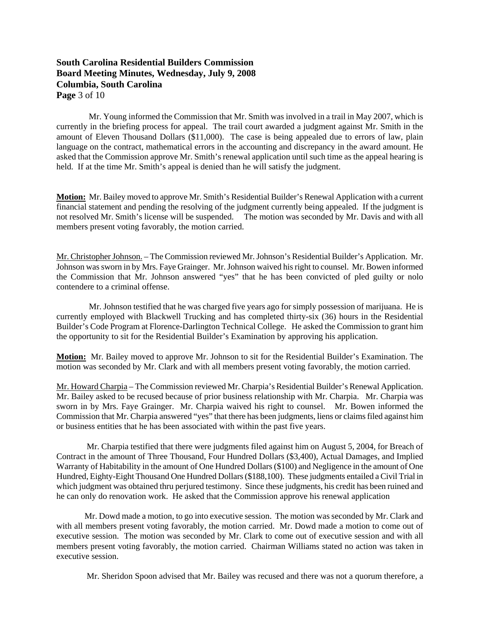## **South Carolina Residential Builders Commission Board Meeting Minutes, Wednesday, July 9, 2008 Columbia, South Carolina Page** 3 of 10

 Mr. Young informed the Commission that Mr. Smith was involved in a trail in May 2007, which is currently in the briefing process for appeal. The trail court awarded a judgment against Mr. Smith in the amount of Eleven Thousand Dollars (\$11,000). The case is being appealed due to errors of law, plain language on the contract, mathematical errors in the accounting and discrepancy in the award amount. He asked that the Commission approve Mr. Smith's renewal application until such time as the appeal hearing is held. If at the time Mr. Smith's appeal is denied than he will satisfy the judgment.

**Motion:** Mr. Bailey moved to approve Mr. Smith's Residential Builder's Renewal Application with a current financial statement and pending the resolving of the judgment currently being appealed. If the judgment is not resolved Mr. Smith's license will be suspended. The motion was seconded by Mr. Davis and with all members present voting favorably, the motion carried.

Mr. Christopher Johnson. – The Commission reviewed Mr. Johnson's Residential Builder's Application. Mr. Johnson was sworn in by Mrs. Faye Grainger. Mr. Johnson waived his right to counsel. Mr. Bowen informed the Commission that Mr. Johnson answered "yes" that he has been convicted of pled guilty or nolo contendere to a criminal offense.

 Mr. Johnson testified that he was charged five years ago for simply possession of marijuana. He is currently employed with Blackwell Trucking and has completed thirty-six (36) hours in the Residential Builder's Code Program at Florence-Darlington Technical College. He asked the Commission to grant him the opportunity to sit for the Residential Builder's Examination by approving his application.

**Motion:** Mr. Bailey moved to approve Mr. Johnson to sit for the Residential Builder's Examination. The motion was seconded by Mr. Clark and with all members present voting favorably, the motion carried.

Mr. Howard Charpia – The Commission reviewed Mr. Charpia's Residential Builder's Renewal Application. Mr. Bailey asked to be recused because of prior business relationship with Mr. Charpia. Mr. Charpia was sworn in by Mrs. Faye Grainger. Mr. Charpia waived his right to counsel. Mr. Bowen informed the Commission that Mr. Charpia answered "yes" that there has been judgments, liens or claims filed against him or business entities that he has been associated with within the past five years.

 Mr. Charpia testified that there were judgments filed against him on August 5, 2004, for Breach of Contract in the amount of Three Thousand, Four Hundred Dollars (\$3,400), Actual Damages, and Implied Warranty of Habitability in the amount of One Hundred Dollars (\$100) and Negligence in the amount of One Hundred, Eighty-Eight Thousand One Hundred Dollars (\$188,100). These judgments entailed a Civil Trial in which judgment was obtained thru perjured testimony. Since these judgments, his credit has been ruined and he can only do renovation work. He asked that the Commission approve his renewal application

 Mr. Dowd made a motion, to go into executive session. The motion was seconded by Mr. Clark and with all members present voting favorably, the motion carried. Mr. Dowd made a motion to come out of executive session. The motion was seconded by Mr. Clark to come out of executive session and with all members present voting favorably, the motion carried. Chairman Williams stated no action was taken in executive session.

Mr. Sheridon Spoon advised that Mr. Bailey was recused and there was not a quorum therefore, a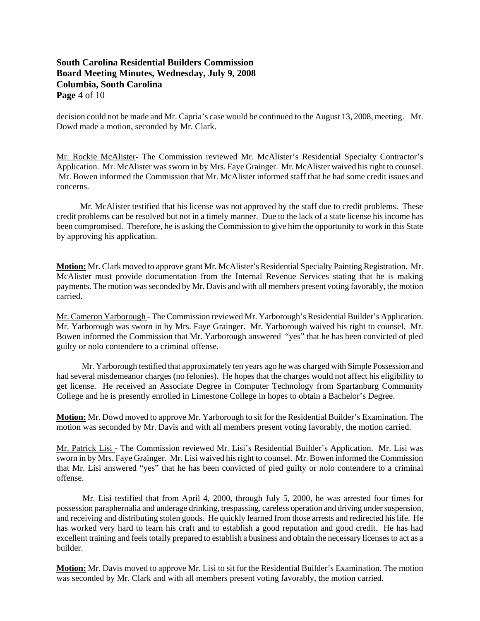# **South Carolina Residential Builders Commission Board Meeting Minutes, Wednesday, July 9, 2008 Columbia, South Carolina Page** 4 of 10

decision could not be made and Mr. Capria's case would be continued to the August 13, 2008, meeting. Mr. Dowd made a motion, seconded by Mr. Clark.

Mr. Rockie McAlister- The Commission reviewed Mr. McAlister's Residential Specialty Contractor's Application. Mr. McAlister was sworn in by Mrs. Faye Grainger. Mr. McAlister waived his right to counsel. Mr. Bowen informed the Commission that Mr. McAlister informed staff that he had some credit issues and concerns.

 Mr. McAlister testified that his license was not approved by the staff due to credit problems. These credit problems can be resolved but not in a timely manner. Due to the lack of a state license his income has been compromised. Therefore, he is asking the Commission to give him the opportunity to work in this State by approving his application.

**Motion:** Mr. Clark moved to approve grant Mr. McAlister's Residential Specialty Painting Registration. Mr. McAlister must provide documentation from the Internal Revenue Services stating that he is making payments. The motion was seconded by Mr. Davis and with all members present voting favorably, the motion carried.

Mr. Cameron Yarborough - The Commission reviewed Mr. Yarborough's Residential Builder's Application. Mr. Yarborough was sworn in by Mrs. Faye Grainger. Mr. Yarborough waived his right to counsel. Mr. Bowen informed the Commission that Mr. Yarborough answered "yes" that he has been convicted of pled guilty or nolo contendere to a criminal offense.

 Mr. Yarborough testified that approximately ten years ago he was charged with Simple Possession and had several misdemeanor charges (no felonies). He hopes that the charges would not affect his eligibility to get license. He received an Associate Degree in Computer Technology from Spartanburg Community College and he is presently enrolled in Limestone College in hopes to obtain a Bachelor's Degree.

**Motion:** Mr. Dowd moved to approve Mr. Yarborough to sit for the Residential Builder's Examination. The motion was seconded by Mr. Davis and with all members present voting favorably, the motion carried.

Mr. Patrick Lisi - The Commission reviewed Mr. Lisi's Residential Builder's Application. Mr. Lisi was sworn in by Mrs. Faye Grainger. Mr. Lisi waived his right to counsel. Mr. Bowen informed the Commission that Mr. Lisi answered "yes" that he has been convicted of pled guilty or nolo contendere to a criminal offense.

 Mr. Lisi testified that from April 4, 2000, through July 5, 2000, he was arrested four times for possession paraphernalia and underage drinking, trespassing, careless operation and driving under suspension, and receiving and distributing stolen goods. He quickly learned from those arrests and redirected his life. He has worked very hard to learn his craft and to establish a good reputation and good credit. He has had excellent training and feels totally prepared to establish a business and obtain the necessary licenses to act as a builder.

**Motion:** Mr. Davis moved to approve Mr. Lisi to sit for the Residential Builder's Examination. The motion was seconded by Mr. Clark and with all members present voting favorably, the motion carried.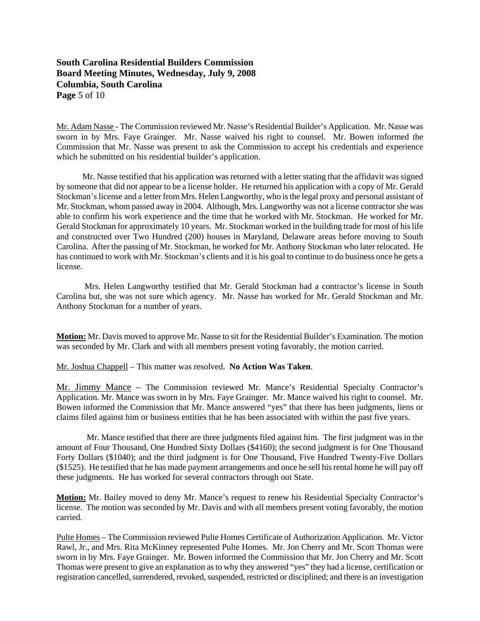# **South Carolina Residential Builders Commission Board Meeting Minutes, Wednesday, July 9, 2008 Columbia, South Carolina Page** 5 of 10

Mr. Adam Nasse - The Commission reviewed Mr. Nasse's Residential Builder's Application. Mr. Nasse was sworn in by Mrs. Faye Grainger. Mr. Nasse waived his right to counsel. Mr. Bowen informed the Commission that Mr. Nasse was present to ask the Commission to accept his credentials and experience which he submitted on his residential builder's application.

 Mr. Nasse testified that his application was returned with a letter stating that the affidavit was signed by someone that did not appear to be a license holder. He returned his application with a copy of Mr. Gerald Stockman's license and a letter from Mrs. Helen Langworthy, who is the legal proxy and personal assistant of Mr. Stockman, whom passed away in 2004. Although, Mrs. Langworthy was not a license contractor she was able to confirm his work experience and the time that he worked with Mr. Stockman. He worked for Mr. Gerald Stockman for approximately 10 years. Mr. Stockman worked in the building trade for most of his life and constructed over Two Hundred (200) houses in Maryland, Delaware areas before moving to South Carolina. After the passing of Mr. Stockman, he worked for Mr. Anthony Stockman who later relocated. He has continued to work with Mr. Stockman's clients and it is his goal to continue to do business once he gets a license.

 Mrs. Helen Langworthy testified that Mr. Gerald Stockman had a contractor's license in South Carolina but, she was not sure which agency. Mr. Nasse has worked for Mr. Gerald Stockman and Mr. Anthony Stockman for a number of years.

**Motion:** Mr. Davis moved to approve Mr. Nasse to sit for the Residential Builder's Examination. The motion was seconded by Mr. Clark and with all members present voting favorably, the motion carried.

Mr. Joshua Chappell – This matter was resolved. **No Action Was Taken**.

Mr. Jimmy Mance – The Commission reviewed Mr. Mance's Residential Specialty Contractor's Application. Mr. Mance was sworn in by Mrs. Faye Grainger. Mr. Mance waived his right to counsel. Mr. Bowen informed the Commission that Mr. Mance answered "yes" that there has been judgments, liens or claims filed against him or business entities that he has been associated with within the past five years.

 Mr. Mance testified that there are three judgments filed against him. The first judgment was in the amount of Four Thousand, One Hundred Sixty Dollars (\$4160); the second judgment is for One Thousand Forty Dollars (\$1040); and the third judgment is for One Thousand, Five Hundred Twenty-Five Dollars (\$1525). He testified that he has made payment arrangements and once he sell his rental home he will pay off these judgments. He has worked for several contractors through out State.

**Motion:** Mr. Bailey moved to deny Mr. Mance's request to renew his Residential Specialty Contractor's license. The motion was seconded by Mr. Davis and with all members present voting favorably, the motion carried.

Pulte Homes – The Commission reviewed Pulte Homes Certificate of Authorization Application. Mr. Victor Rawl, Jr., and Mrs. Rita McKinney represented Pulte Homes. Mr. Jon Cherry and Mr. Scott Thomas were sworn in by Mrs. Faye Grainger. Mr. Bowen informed the Commission that Mr. Jon Cherry and Mr. Scott Thomas were present to give an explanation as to why they answered "yes" they had a license, certification or registration cancelled, surrendered, revoked, suspended, restricted or disciplined; and there is an investigation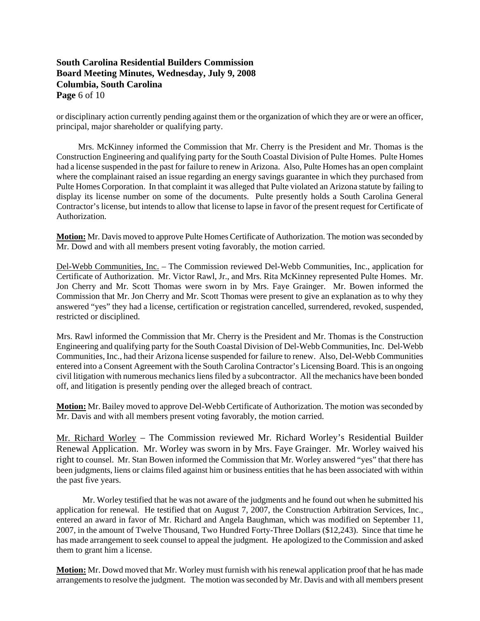# **South Carolina Residential Builders Commission Board Meeting Minutes, Wednesday, July 9, 2008 Columbia, South Carolina Page** 6 of 10

or disciplinary action currently pending against them or the organization of which they are or were an officer, principal, major shareholder or qualifying party.

 Mrs. McKinney informed the Commission that Mr. Cherry is the President and Mr. Thomas is the Construction Engineering and qualifying party for the South Coastal Division of Pulte Homes. Pulte Homes had a license suspended in the past for failure to renew in Arizona. Also, Pulte Homes has an open complaint where the complainant raised an issue regarding an energy savings guarantee in which they purchased from Pulte Homes Corporation. In that complaint it was alleged that Pulte violated an Arizona statute by failing to display its license number on some of the documents. Pulte presently holds a South Carolina General Contractor's license, but intends to allow that license to lapse in favor of the present request for Certificate of Authorization.

**Motion:** Mr. Davis moved to approve Pulte Homes Certificate of Authorization. The motion was seconded by Mr. Dowd and with all members present voting favorably, the motion carried.

Del-Webb Communities, Inc. – The Commission reviewed Del-Webb Communities, Inc., application for Certificate of Authorization. Mr. Victor Rawl, Jr., and Mrs. Rita McKinney represented Pulte Homes. Mr. Jon Cherry and Mr. Scott Thomas were sworn in by Mrs. Faye Grainger. Mr. Bowen informed the Commission that Mr. Jon Cherry and Mr. Scott Thomas were present to give an explanation as to why they answered "yes" they had a license, certification or registration cancelled, surrendered, revoked, suspended, restricted or disciplined.

Mrs. Rawl informed the Commission that Mr. Cherry is the President and Mr. Thomas is the Construction Engineering and qualifying party for the South Coastal Division of Del-Webb Communities, Inc. Del-Webb Communities, Inc., had their Arizona license suspended for failure to renew. Also, Del-Webb Communities entered into a Consent Agreement with the South Carolina Contractor's Licensing Board. This is an ongoing civil litigation with numerous mechanics liens filed by a subcontractor. All the mechanics have been bonded off, and litigation is presently pending over the alleged breach of contract.

**Motion:** Mr. Bailey moved to approve Del-Webb Certificate of Authorization. The motion was seconded by Mr. Davis and with all members present voting favorably, the motion carried.

Mr. Richard Worley – The Commission reviewed Mr. Richard Worley's Residential Builder Renewal Application. Mr. Worley was sworn in by Mrs. Faye Grainger. Mr. Worley waived his right to counsel. Mr. Stan Bowen informed the Commission that Mr. Worley answered "yes" that there has been judgments, liens or claims filed against him or business entities that he has been associated with within the past five years.

 Mr. Worley testified that he was not aware of the judgments and he found out when he submitted his application for renewal. He testified that on August 7, 2007, the Construction Arbitration Services, Inc., entered an award in favor of Mr. Richard and Angela Baughman, which was modified on September 11, 2007, in the amount of Twelve Thousand, Two Hundred Forty-Three Dollars (\$12,243). Since that time he has made arrangement to seek counsel to appeal the judgment. He apologized to the Commission and asked them to grant him a license.

**Motion:** Mr. Dowd moved that Mr. Worley must furnish with his renewal application proof that he has made arrangements to resolve the judgment. The motion was seconded by Mr. Davis and with all members present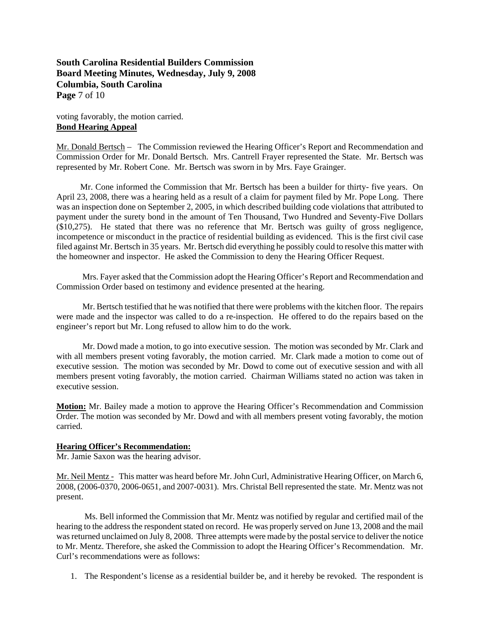**South Carolina Residential Builders Commission Board Meeting Minutes, Wednesday, July 9, 2008 Columbia, South Carolina Page** 7 of 10

voting favorably, the motion carried. **Bond Hearing Appeal**

Mr. Donald Bertsch – The Commission reviewed the Hearing Officer's Report and Recommendation and Commission Order for Mr. Donald Bertsch. Mrs. Cantrell Frayer represented the State. Mr. Bertsch was represented by Mr. Robert Cone. Mr. Bertsch was sworn in by Mrs. Faye Grainger.

 Mr. Cone informed the Commission that Mr. Bertsch has been a builder for thirty- five years. On April 23, 2008, there was a hearing held as a result of a claim for payment filed by Mr. Pope Long. There was an inspection done on September 2, 2005, in which described building code violations that attributed to payment under the surety bond in the amount of Ten Thousand, Two Hundred and Seventy-Five Dollars (\$10,275). He stated that there was no reference that Mr. Bertsch was guilty of gross negligence, incompetence or misconduct in the practice of residential building as evidenced. This is the first civil case filed against Mr. Bertsch in 35 years. Mr. Bertsch did everything he possibly could to resolve this matter with the homeowner and inspector. He asked the Commission to deny the Hearing Officer Request.

 Mrs. Fayer asked that the Commission adopt the Hearing Officer's Report and Recommendation and Commission Order based on testimony and evidence presented at the hearing.

 Mr. Bertsch testified that he was notified that there were problems with the kitchen floor. The repairs were made and the inspector was called to do a re-inspection. He offered to do the repairs based on the engineer's report but Mr. Long refused to allow him to do the work.

 Mr. Dowd made a motion, to go into executive session. The motion was seconded by Mr. Clark and with all members present voting favorably, the motion carried. Mr. Clark made a motion to come out of executive session. The motion was seconded by Mr. Dowd to come out of executive session and with all members present voting favorably, the motion carried. Chairman Williams stated no action was taken in executive session.

**Motion:** Mr. Bailey made a motion to approve the Hearing Officer's Recommendation and Commission Order. The motion was seconded by Mr. Dowd and with all members present voting favorably, the motion carried.

#### **Hearing Officer's Recommendation:**

Mr. Jamie Saxon was the hearing advisor.

Mr. Neil Mentz - This matter was heard before Mr. John Curl, Administrative Hearing Officer, on March 6, 2008, (2006-0370, 2006-0651, and 2007-0031). Mrs. Christal Bell represented the state. Mr. Mentz was not present.

 Ms. Bell informed the Commission that Mr. Mentz was notified by regular and certified mail of the hearing to the address the respondent stated on record. He was properly served on June 13, 2008 and the mail was returned unclaimed on July 8, 2008. Three attempts were made by the postal service to deliver the notice to Mr. Mentz. Therefore, she asked the Commission to adopt the Hearing Officer's Recommendation. Mr. Curl's recommendations were as follows:

1. The Respondent's license as a residential builder be, and it hereby be revoked. The respondent is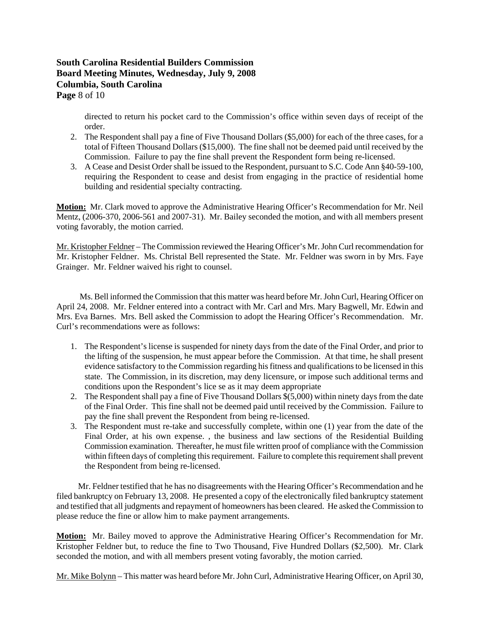## **South Carolina Residential Builders Commission Board Meeting Minutes, Wednesday, July 9, 2008 Columbia, South Carolina Page** 8 of 10

directed to return his pocket card to the Commission's office within seven days of receipt of the order.

- 2. The Respondent shall pay a fine of Five Thousand Dollars (\$5,000) for each of the three cases, for a total of Fifteen Thousand Dollars (\$15,000). The fine shall not be deemed paid until received by the Commission. Failure to pay the fine shall prevent the Respondent form being re-licensed.
- 3. A Cease and Desist Order shall be issued to the Respondent, pursuant to S.C. Code Ann §40-59-100, requiring the Respondent to cease and desist from engaging in the practice of residential home building and residential specialty contracting.

**Motion:** Mr. Clark moved to approve the Administrative Hearing Officer's Recommendation for Mr. Neil Mentz, (2006-370, 2006-561 and 2007-31). Mr. Bailey seconded the motion, and with all members present voting favorably, the motion carried.

Mr. Kristopher Feldner – The Commission reviewed the Hearing Officer's Mr. John Curl recommendation for Mr. Kristopher Feldner. Ms. Christal Bell represented the State. Mr. Feldner was sworn in by Mrs. Faye Grainger. Mr. Feldner waived his right to counsel.

 Ms. Bell informed the Commission that this matter was heard before Mr. John Curl, Hearing Officer on April 24, 2008. Mr. Feldner entered into a contract with Mr. Carl and Mrs. Mary Bagwell, Mr. Edwin and Mrs. Eva Barnes. Mrs. Bell asked the Commission to adopt the Hearing Officer's Recommendation. Mr. Curl's recommendations were as follows:

- 1. The Respondent's license is suspended for ninety days from the date of the Final Order, and prior to the lifting of the suspension, he must appear before the Commission. At that time, he shall present evidence satisfactory to the Commission regarding his fitness and qualifications to be licensed in this state. The Commission, in its discretion, may deny licensure, or impose such additional terms and conditions upon the Respondent's lice se as it may deem appropriate
- 2. The Respondent shall pay a fine of Five Thousand Dollars \$(5,000) within ninety days from the date of the Final Order. This fine shall not be deemed paid until received by the Commission. Failure to pay the fine shall prevent the Respondent from being re-licensed.
- 3. The Respondent must re-take and successfully complete, within one (1) year from the date of the Final Order, at his own expense. , the business and law sections of the Residential Building Commission examination. Thereafter, he must file written proof of compliance with the Commission within fifteen days of completing this requirement. Failure to complete this requirement shall prevent the Respondent from being re-licensed.

 Mr. Feldner testified that he has no disagreements with the Hearing Officer's Recommendation and he filed bankruptcy on February 13, 2008. He presented a copy of the electronically filed bankruptcy statement and testified that all judgments and repayment of homeowners has been cleared. He asked the Commission to please reduce the fine or allow him to make payment arrangements.

**Motion:** Mr. Bailey moved to approve the Administrative Hearing Officer's Recommendation for Mr. Kristopher Feldner but, to reduce the fine to Two Thousand, Five Hundred Dollars (\$2,500). Mr. Clark seconded the motion, and with all members present voting favorably, the motion carried.

Mr. Mike Bolynn – This matter was heard before Mr. John Curl, Administrative Hearing Officer, on April 30,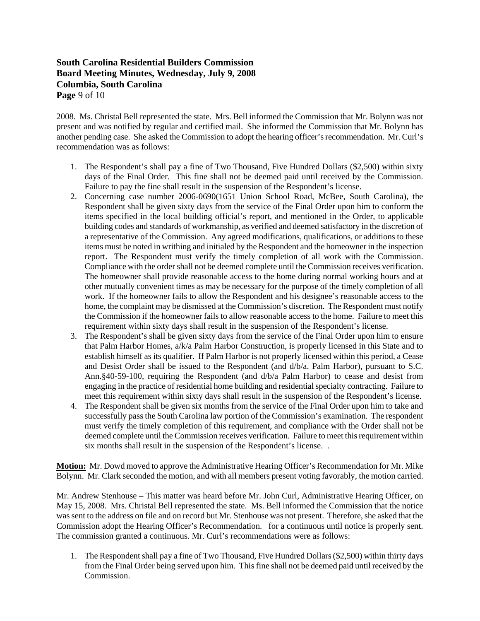# **South Carolina Residential Builders Commission Board Meeting Minutes, Wednesday, July 9, 2008 Columbia, South Carolina Page** 9 of 10

2008. Ms. Christal Bell represented the state. Mrs. Bell informed the Commission that Mr. Bolynn was not present and was notified by regular and certified mail. She informed the Commission that Mr. Bolynn has another pending case. She asked the Commission to adopt the hearing officer's recommendation. Mr. Curl's recommendation was as follows:

- 1. The Respondent's shall pay a fine of Two Thousand, Five Hundred Dollars (\$2,500) within sixty days of the Final Order. This fine shall not be deemed paid until received by the Commission. Failure to pay the fine shall result in the suspension of the Respondent's license.
- 2. Concerning case number 2006-0690(1651 Union School Road, McBee, South Carolina), the Respondent shall be given sixty days from the service of the Final Order upon him to conform the items specified in the local building official's report, and mentioned in the Order, to applicable building codes and standards of workmanship, as verified and deemed satisfactory in the discretion of a representative of the Commission. Any agreed modifications, qualifications, or additions to these items must be noted in writhing and initialed by the Respondent and the homeowner in the inspection report. The Respondent must verify the timely completion of all work with the Commission. Compliance with the order shall not be deemed complete until the Commission receives verification. The homeowner shall provide reasonable access to the home during normal working hours and at other mutually convenient times as may be necessary for the purpose of the timely completion of all work. If the homeowner fails to allow the Respondent and his designee's reasonable access to the home, the complaint may be dismissed at the Commission's discretion. The Respondent must notify the Commission if the homeowner fails to allow reasonable access to the home. Failure to meet this requirement within sixty days shall result in the suspension of the Respondent's license.
- 3. The Respondent's shall be given sixty days from the service of the Final Order upon him to ensure that Palm Harbor Homes, a/k/a Palm Harbor Construction, is properly licensed in this State and to establish himself as its qualifier. If Palm Harbor is not properly licensed within this period, a Cease and Desist Order shall be issued to the Respondent (and d/b/a. Palm Harbor), pursuant to S.C. Ann.§40-59-100, requiring the Respondent (and d/b/a Palm Harbor) to cease and desist from engaging in the practice of residential home building and residential specialty contracting. Failure to meet this requirement within sixty days shall result in the suspension of the Respondent's license.
- 4. The Respondent shall be given six months from the service of the Final Order upon him to take and successfully pass the South Carolina law portion of the Commission's examination. The respondent must verify the timely completion of this requirement, and compliance with the Order shall not be deemed complete until the Commission receives verification. Failure to meet this requirement within six months shall result in the suspension of the Respondent's license. .

**Motion:** Mr. Dowd moved to approve the Administrative Hearing Officer's Recommendation for Mr. Mike Bolynn. Mr. Clark seconded the motion, and with all members present voting favorably, the motion carried.

Mr. Andrew Stenhouse – This matter was heard before Mr. John Curl, Administrative Hearing Officer, on May 15, 2008. Mrs. Christal Bell represented the state. Ms. Bell informed the Commission that the notice was sent to the address on file and on record but Mr. Stenhouse was not present. Therefore, she asked that the Commission adopt the Hearing Officer's Recommendation. for a continuous until notice is properly sent. The commission granted a continuous. Mr. Curl's recommendations were as follows:

1. The Respondent shall pay a fine of Two Thousand, Five Hundred Dollars (\$2,500) within thirty days from the Final Order being served upon him. This fine shall not be deemed paid until received by the Commission.